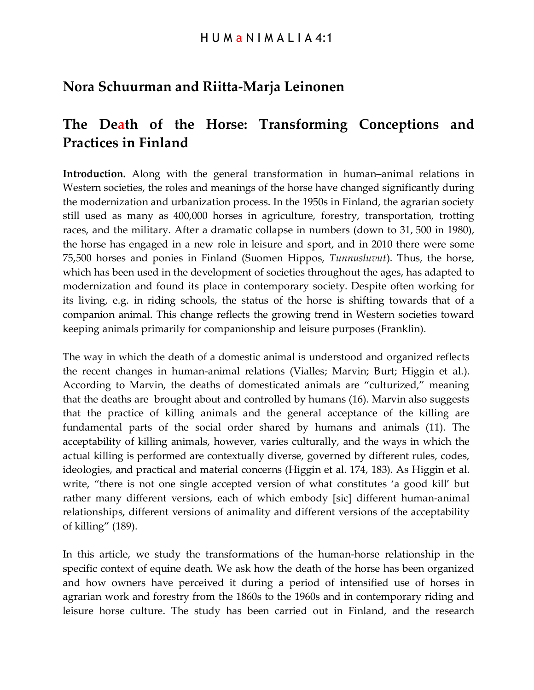## **Nora Schuurman and Riitta-Marja Leinonen**

# **The Death of the Horse: Transforming Conceptions and Practices in Finland**

**Introduction.** Along with the general transformation in human–animal relations in Western societies, the roles and meanings of the horse have changed significantly during the modernization and urbanization process. In the 1950s in Finland, the agrarian society still used as many as 400,000 horses in agriculture, forestry, transportation, trotting races, and the military. After a dramatic collapse in numbers (down to 31, 500 in 1980), the horse has engaged in a new role in leisure and sport, and in 2010 there were some 75,500 horses and ponies in Finland (Suomen Hippos, *Tunnusluvut*). Thus, the horse, which has been used in the development of societies throughout the ages, has adapted to modernization and found its place in contemporary society. Despite often working for its living, e.g. in riding schools, the status of the horse is shifting towards that of a companion animal. This change reflects the growing trend in Western societies toward keeping animals primarily for companionship and leisure purposes (Franklin).

The way in which the death of a domestic animal is understood and organized reflects the recent changes in human-animal relations (Vialles; Marvin; Burt; Higgin et al.). According to Marvin, the deaths of domesticated animals are "culturized," meaning that the deaths are brought about and controlled by humans (16). Marvin also suggests that the practice of killing animals and the general acceptance of the killing are fundamental parts of the social order shared by humans and animals (11). The acceptability of killing animals, however, varies culturally, and the ways in which the actual killing is performed are contextually diverse, governed by different rules, codes, ideologies, and practical and material concerns (Higgin et al. 174, 183). As Higgin et al. write, "there is not one single accepted version of what constitutes 'a good kill' but rather many different versions, each of which embody [sic] different human-animal relationships, different versions of animality and different versions of the acceptability of killing" (189).

In this article, we study the transformations of the human-horse relationship in the specific context of equine death. We ask how the death of the horse has been organized and how owners have perceived it during a period of intensified use of horses in agrarian work and forestry from the 1860s to the 1960s and in contemporary riding and leisure horse culture. The study has been carried out in Finland, and the research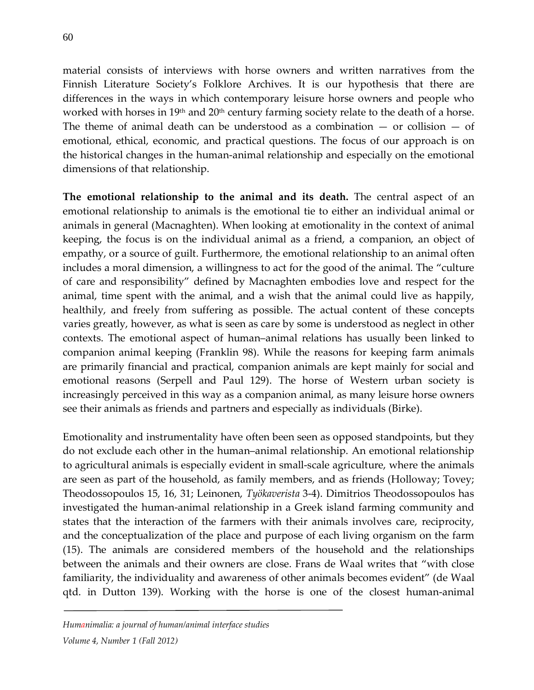material consists of interviews with horse owners and written narratives from the Finnish Literature Society's Folklore Archives. It is our hypothesis that there are differences in the ways in which contemporary leisure horse owners and people who worked with horses in 19<sup>th</sup> and 20<sup>th</sup> century farming society relate to the death of a horse. The theme of animal death can be understood as a combination  $-$  or collision  $-$  of emotional, ethical, economic, and practical questions. The focus of our approach is on the historical changes in the human-animal relationship and especially on the emotional dimensions of that relationship.

**The emotional relationship to the animal and its death.** The central aspect of an emotional relationship to animals is the emotional tie to either an individual animal or animals in general (Macnaghten). When looking at emotionality in the context of animal keeping, the focus is on the individual animal as a friend, a companion, an object of empathy, or a source of guilt. Furthermore, the emotional relationship to an animal often includes a moral dimension, a willingness to act for the good of the animal. The "culture of care and responsibility" defined by Macnaghten embodies love and respect for the animal, time spent with the animal, and a wish that the animal could live as happily, healthily, and freely from suffering as possible. The actual content of these concepts varies greatly, however, as what is seen as care by some is understood as neglect in other contexts. The emotional aspect of human–animal relations has usually been linked to companion animal keeping (Franklin 98). While the reasons for keeping farm animals are primarily financial and practical, companion animals are kept mainly for social and emotional reasons (Serpell and Paul 129). The horse of Western urban society is increasingly perceived in this way as a companion animal, as many leisure horse owners see their animals as friends and partners and especially as individuals (Birke).

Emotionality and instrumentality have often been seen as opposed standpoints, but they do not exclude each other in the human–animal relationship. An emotional relationship to agricultural animals is especially evident in small-scale agriculture, where the animals are seen as part of the household, as family members, and as friends (Holloway; Tovey; Theodossopoulos 15, 16, 31; Leinonen, *Työkaverista* 3-4). Dimitrios Theodossopoulos has investigated the human-animal relationship in a Greek island farming community and states that the interaction of the farmers with their animals involves care, reciprocity, and the conceptualization of the place and purpose of each living organism on the farm (15). The animals are considered members of the household and the relationships between the animals and their owners are close. Frans de Waal writes that "with close familiarity, the individuality and awareness of other animals becomes evident" (de Waal qtd. in Dutton 139). Working with the horse is one of the closest human-animal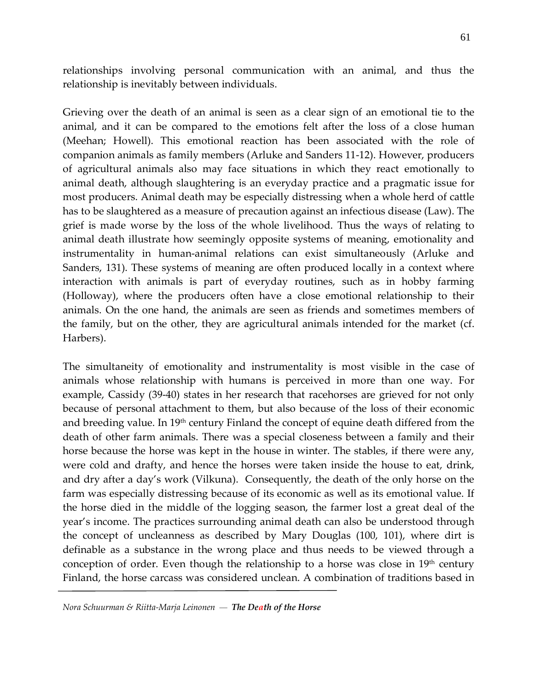relationships involving personal communication with an animal, and thus the relationship is inevitably between individuals.

Grieving over the death of an animal is seen as a clear sign of an emotional tie to the animal, and it can be compared to the emotions felt after the loss of a close human (Meehan; Howell). This emotional reaction has been associated with the role of companion animals as family members (Arluke and Sanders 11-12). However, producers of agricultural animals also may face situations in which they react emotionally to animal death, although slaughtering is an everyday practice and a pragmatic issue for most producers. Animal death may be especially distressing when a whole herd of cattle has to be slaughtered as a measure of precaution against an infectious disease (Law). The grief is made worse by the loss of the whole livelihood. Thus the ways of relating to animal death illustrate how seemingly opposite systems of meaning, emotionality and instrumentality in human-animal relations can exist simultaneously (Arluke and Sanders, 131). These systems of meaning are often produced locally in a context where interaction with animals is part of everyday routines, such as in hobby farming (Holloway), where the producers often have a close emotional relationship to their animals. On the one hand, the animals are seen as friends and sometimes members of the family, but on the other, they are agricultural animals intended for the market (cf. Harbers).

The simultaneity of emotionality and instrumentality is most visible in the case of animals whose relationship with humans is perceived in more than one way. For example, Cassidy (39-40) states in her research that racehorses are grieved for not only because of personal attachment to them, but also because of the loss of their economic and breeding value. In 19<sup>th</sup> century Finland the concept of equine death differed from the death of other farm animals. There was a special closeness between a family and their horse because the horse was kept in the house in winter. The stables, if there were any, were cold and drafty, and hence the horses were taken inside the house to eat, drink, and dry after a day's work (Vilkuna). Consequently, the death of the only horse on the farm was especially distressing because of its economic as well as its emotional value. If the horse died in the middle of the logging season, the farmer lost a great deal of the year's income. The practices surrounding animal death can also be understood through the concept of uncleanness as described by Mary Douglas (100, 101), where dirt is definable as a substance in the wrong place and thus needs to be viewed through a conception of order. Even though the relationship to a horse was close in  $19<sup>th</sup>$  century Finland, the horse carcass was considered unclean. A combination of traditions based in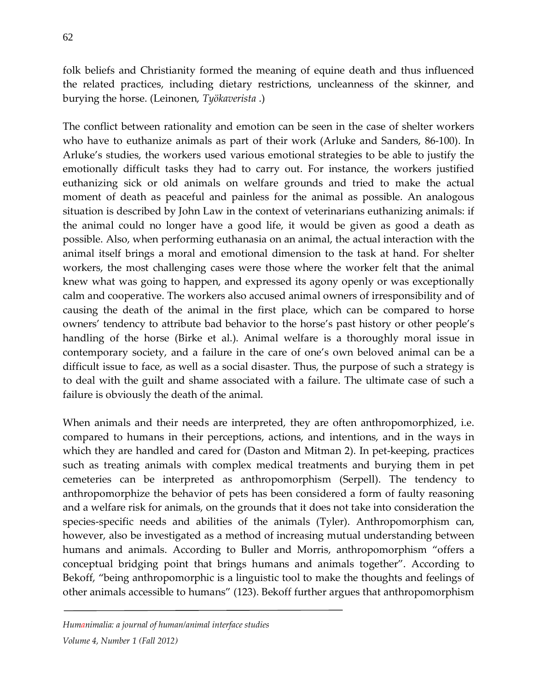folk beliefs and Christianity formed the meaning of equine death and thus influenced the related practices, including dietary restrictions, uncleanness of the skinner, and burying the horse. (Leinonen, *Työkaverista* .)

The conflict between rationality and emotion can be seen in the case of shelter workers who have to euthanize animals as part of their work (Arluke and Sanders, 86-100). In Arluke's studies, the workers used various emotional strategies to be able to justify the emotionally difficult tasks they had to carry out. For instance, the workers justified euthanizing sick or old animals on welfare grounds and tried to make the actual moment of death as peaceful and painless for the animal as possible. An analogous situation is described by John Law in the context of veterinarians euthanizing animals: if the animal could no longer have a good life, it would be given as good a death as possible. Also, when performing euthanasia on an animal, the actual interaction with the animal itself brings a moral and emotional dimension to the task at hand. For shelter workers, the most challenging cases were those where the worker felt that the animal knew what was going to happen, and expressed its agony openly or was exceptionally calm and cooperative. The workers also accused animal owners of irresponsibility and of causing the death of the animal in the first place, which can be compared to horse owners' tendency to attribute bad behavior to the horse's past history or other people's handling of the horse (Birke et al.). Animal welfare is a thoroughly moral issue in contemporary society, and a failure in the care of one's own beloved animal can be a difficult issue to face, as well as a social disaster. Thus, the purpose of such a strategy is to deal with the guilt and shame associated with a failure. The ultimate case of such a failure is obviously the death of the animal.

When animals and their needs are interpreted, they are often anthropomorphized, i.e. compared to humans in their perceptions, actions, and intentions, and in the ways in which they are handled and cared for (Daston and Mitman 2). In pet-keeping, practices such as treating animals with complex medical treatments and burying them in pet cemeteries can be interpreted as anthropomorphism (Serpell). The tendency to anthropomorphize the behavior of pets has been considered a form of faulty reasoning and a welfare risk for animals, on the grounds that it does not take into consideration the species-specific needs and abilities of the animals (Tyler). Anthropomorphism can, however, also be investigated as a method of increasing mutual understanding between humans and animals. According to Buller and Morris, anthropomorphism "offers a conceptual bridging point that brings humans and animals together". According to Bekoff, "being anthropomorphic is a linguistic tool to make the thoughts and feelings of other animals accessible to humans" (123). Bekoff further argues that anthropomorphism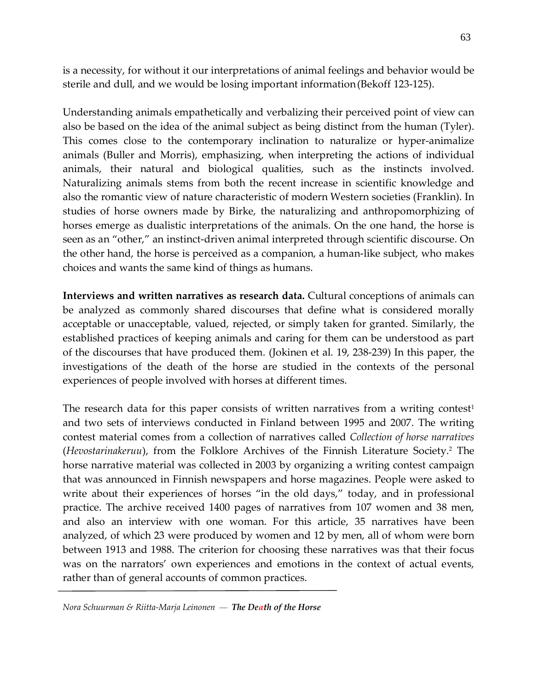is a necessity, for without it our interpretations of animal feelings and behavior would be sterile and dull, and we would be losing important information(Bekoff 123-125).

Understanding animals empathetically and verbalizing their perceived point of view can also be based on the idea of the animal subject as being distinct from the human (Tyler). This comes close to the contemporary inclination to naturalize or hyper-animalize animals (Buller and Morris), emphasizing, when interpreting the actions of individual animals, their natural and biological qualities, such as the instincts involved. Naturalizing animals stems from both the recent increase in scientific knowledge and also the romantic view of nature characteristic of modern Western societies (Franklin). In studies of horse owners made by Birke, the naturalizing and anthropomorphizing of horses emerge as dualistic interpretations of the animals. On the one hand, the horse is seen as an "other," an instinct-driven animal interpreted through scientific discourse. On the other hand, the horse is perceived as a companion, a human-like subject, who makes choices and wants the same kind of things as humans.

**Interviews and written narratives as research data.** Cultural conceptions of animals can be analyzed as commonly shared discourses that define what is considered morally acceptable or unacceptable, valued, rejected, or simply taken for granted. Similarly, the established practices of keeping animals and caring for them can be understood as part of the discourses that have produced them. (Jokinen et al. 19, 238-239) In this paper, the investigations of the death of the horse are studied in the contexts of the personal experiences of people involved with horses at different times.

The research data for this paper consists of written narratives from a writing contest<sup>1</sup> and two sets of interviews conducted in Finland between 1995 and 2007. The writing contest material comes from a collection of narratives called *Collection of horse narratives* (*Hevostarinakeruu*), from the Folklore Archives of the Finnish Literature Society.2 The horse narrative material was collected in 2003 by organizing a writing contest campaign that was announced in Finnish newspapers and horse magazines. People were asked to write about their experiences of horses "in the old days," today, and in professional practice. The archive received 1400 pages of narratives from 107 women and 38 men, and also an interview with one woman. For this article, 35 narratives have been analyzed, of which 23 were produced by women and 12 by men, all of whom were born between 1913 and 1988. The criterion for choosing these narratives was that their focus was on the narrators' own experiences and emotions in the context of actual events, rather than of general accounts of common practices.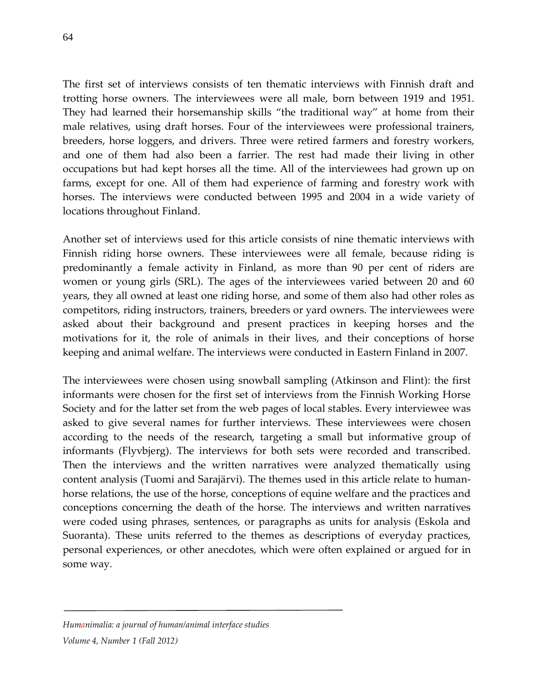The first set of interviews consists of ten thematic interviews with Finnish draft and trotting horse owners. The interviewees were all male, born between 1919 and 1951. They had learned their horsemanship skills "the traditional way" at home from their male relatives, using draft horses. Four of the interviewees were professional trainers, breeders, horse loggers, and drivers. Three were retired farmers and forestry workers, and one of them had also been a farrier. The rest had made their living in other occupations but had kept horses all the time. All of the interviewees had grown up on farms, except for one. All of them had experience of farming and forestry work with horses. The interviews were conducted between 1995 and 2004 in a wide variety of locations throughout Finland.

Another set of interviews used for this article consists of nine thematic interviews with Finnish riding horse owners. These interviewees were all female, because riding is predominantly a female activity in Finland, as more than 90 per cent of riders are women or young girls (SRL). The ages of the interviewees varied between 20 and 60 years, they all owned at least one riding horse, and some of them also had other roles as competitors, riding instructors, trainers, breeders or yard owners. The interviewees were asked about their background and present practices in keeping horses and the motivations for it, the role of animals in their lives, and their conceptions of horse keeping and animal welfare. The interviews were conducted in Eastern Finland in 2007.

The interviewees were chosen using snowball sampling (Atkinson and Flint): the first informants were chosen for the first set of interviews from the Finnish Working Horse Society and for the latter set from the web pages of local stables. Every interviewee was asked to give several names for further interviews. These interviewees were chosen according to the needs of the research, targeting a small but informative group of informants (Flyvbjerg). The interviews for both sets were recorded and transcribed. Then the interviews and the written narratives were analyzed thematically using content analysis (Tuomi and Sarajärvi). The themes used in this article relate to humanhorse relations, the use of the horse, conceptions of equine welfare and the practices and conceptions concerning the death of the horse. The interviews and written narratives were coded using phrases, sentences, or paragraphs as units for analysis (Eskola and Suoranta). These units referred to the themes as descriptions of everyday practices, personal experiences, or other anecdotes, which were often explained or argued for in some way.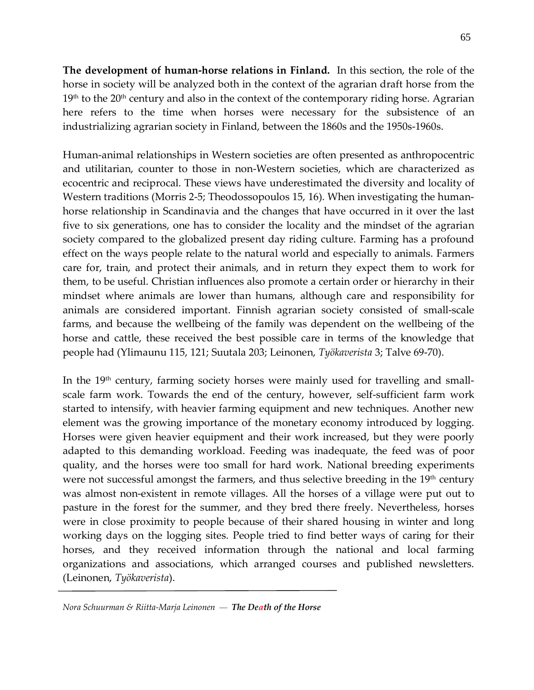**The development of human-horse relations in Finland.** In this section, the role of the horse in society will be analyzed both in the context of the agrarian draft horse from the  $19<sup>th</sup>$  to the  $20<sup>th</sup>$  century and also in the context of the contemporary riding horse. Agrarian here refers to the time when horses were necessary for the subsistence of an industrializing agrarian society in Finland, between the 1860s and the 1950s-1960s.

Human-animal relationships in Western societies are often presented as anthropocentric and utilitarian, counter to those in non-Western societies, which are characterized as ecocentric and reciprocal. These views have underestimated the diversity and locality of Western traditions (Morris 2-5; Theodossopoulos 15, 16). When investigating the humanhorse relationship in Scandinavia and the changes that have occurred in it over the last five to six generations, one has to consider the locality and the mindset of the agrarian society compared to the globalized present day riding culture. Farming has a profound effect on the ways people relate to the natural world and especially to animals. Farmers care for, train, and protect their animals, and in return they expect them to work for them, to be useful. Christian influences also promote a certain order or hierarchy in their mindset where animals are lower than humans, although care and responsibility for animals are considered important. Finnish agrarian society consisted of small-scale farms, and because the wellbeing of the family was dependent on the wellbeing of the horse and cattle, these received the best possible care in terms of the knowledge that people had (Ylimaunu 115, 121; Suutala 203; Leinonen, *Työkaverista* 3; Talve 69-70).

In the 19<sup>th</sup> century, farming society horses were mainly used for travelling and smallscale farm work. Towards the end of the century, however, self-sufficient farm work started to intensify, with heavier farming equipment and new techniques. Another new element was the growing importance of the monetary economy introduced by logging. Horses were given heavier equipment and their work increased, but they were poorly adapted to this demanding workload. Feeding was inadequate, the feed was of poor quality, and the horses were too small for hard work. National breeding experiments were not successful amongst the farmers, and thus selective breeding in the  $19<sup>th</sup>$  century was almost non-existent in remote villages. All the horses of a village were put out to pasture in the forest for the summer, and they bred there freely. Nevertheless, horses were in close proximity to people because of their shared housing in winter and long working days on the logging sites. People tried to find better ways of caring for their horses, and they received information through the national and local farming organizations and associations, which arranged courses and published newsletters. (Leinonen, *Työkaverista*).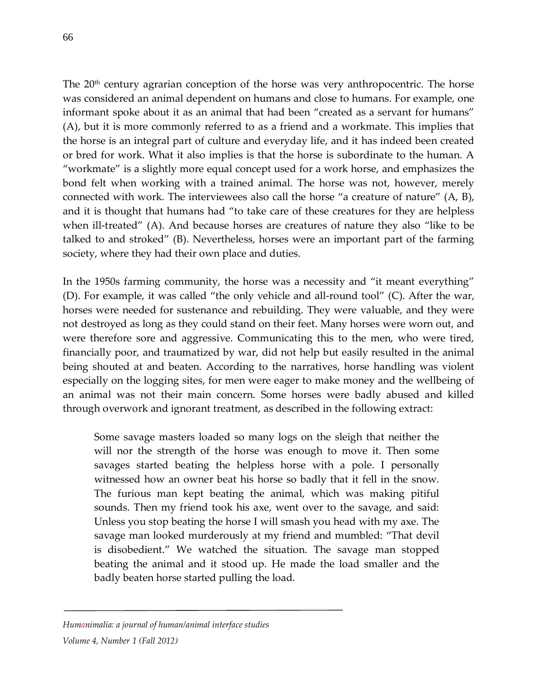The  $20<sup>th</sup>$  century agrarian conception of the horse was very anthropocentric. The horse was considered an animal dependent on humans and close to humans. For example, one informant spoke about it as an animal that had been "created as a servant for humans" (A), but it is more commonly referred to as a friend and a workmate. This implies that the horse is an integral part of culture and everyday life, and it has indeed been created or bred for work. What it also implies is that the horse is subordinate to the human. A "workmate" is a slightly more equal concept used for a work horse, and emphasizes the bond felt when working with a trained animal. The horse was not, however, merely connected with work. The interviewees also call the horse "a creature of nature" (A, B), and it is thought that humans had "to take care of these creatures for they are helpless when ill-treated" (A). And because horses are creatures of nature they also "like to be talked to and stroked" (B). Nevertheless, horses were an important part of the farming society, where they had their own place and duties.

In the 1950s farming community, the horse was a necessity and "it meant everything" (D). For example, it was called "the only vehicle and all-round tool" (C). After the war, horses were needed for sustenance and rebuilding. They were valuable, and they were not destroyed as long as they could stand on their feet. Many horses were worn out, and were therefore sore and aggressive. Communicating this to the men, who were tired, financially poor, and traumatized by war, did not help but easily resulted in the animal being shouted at and beaten. According to the narratives, horse handling was violent especially on the logging sites, for men were eager to make money and the wellbeing of an animal was not their main concern. Some horses were badly abused and killed through overwork and ignorant treatment, as described in the following extract:

Some savage masters loaded so many logs on the sleigh that neither the will nor the strength of the horse was enough to move it. Then some savages started beating the helpless horse with a pole. I personally witnessed how an owner beat his horse so badly that it fell in the snow. The furious man kept beating the animal, which was making pitiful sounds. Then my friend took his axe, went over to the savage, and said: Unless you stop beating the horse I will smash you head with my axe. The savage man looked murderously at my friend and mumbled: "That devil is disobedient." We watched the situation. The savage man stopped beating the animal and it stood up. He made the load smaller and the badly beaten horse started pulling the load.

*Humanimalia: a journal of human/animal interface studies Volume 4, Number 1 (Fall 2012)*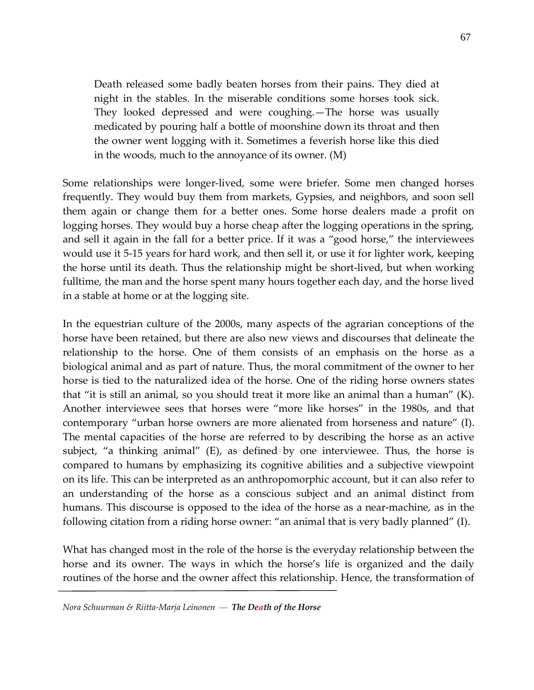Death released some badly beaten horses from their pains. They died at night in the stables. In the miserable conditions some horses took sick. They looked depressed and were coughing.—The horse was usually medicated by pouring half a bottle of moonshine down its throat and then the owner went logging with it. Sometimes a feverish horse like this died in the woods, much to the annoyance of its owner. (M)

Some relationships were longer-lived, some were briefer. Some men changed horses frequently. They would buy them from markets, Gypsies, and neighbors, and soon sell them again or change them for a better ones. Some horse dealers made a profit on logging horses. They would buy a horse cheap after the logging operations in the spring, and sell it again in the fall for a better price. If it was a "good horse," the interviewees would use it 5-15 years for hard work, and then sell it, or use it for lighter work, keeping the horse until its death. Thus the relationship might be short-lived, but when working fulltime, the man and the horse spent many hours together each day, and the horse lived in a stable at home or at the logging site.

In the equestrian culture of the 2000s, many aspects of the agrarian conceptions of the horse have been retained, but there are also new views and discourses that delineate the relationship to the horse. One of them consists of an emphasis on the horse as a biological animal and as part of nature. Thus, the moral commitment of the owner to her horse is tied to the naturalized idea of the horse. One of the riding horse owners states that "it is still an animal, so you should treat it more like an animal than a human" (K). Another interviewee sees that horses were "more like horses" in the 1980s, and that contemporary "urban horse owners are more alienated from horseness and nature" (I). The mental capacities of the horse are referred to by describing the horse as an active subject, "a thinking animal" (E), as defined by one interviewee. Thus, the horse is compared to humans by emphasizing its cognitive abilities and a subjective viewpoint on its life. This can be interpreted as an anthropomorphic account, but it can also refer to an understanding of the horse as a conscious subject and an animal distinct from humans. This discourse is opposed to the idea of the horse as a near-machine, as in the following citation from a riding horse owner: "an animal that is very badly planned" (I).

What has changed most in the role of the horse is the everyday relationship between the horse and its owner. The ways in which the horse's life is organized and the daily routines of the horse and the owner affect this relationship. Hence, the transformation of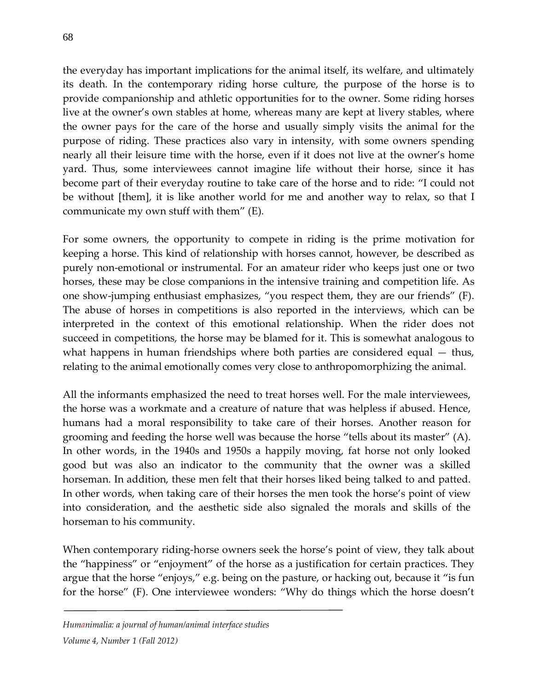the everyday has important implications for the animal itself, its welfare, and ultimately its death. In the contemporary riding horse culture, the purpose of the horse is to provide companionship and athletic opportunities for to the owner. Some riding horses live at the owner's own stables at home, whereas many are kept at livery stables, where the owner pays for the care of the horse and usually simply visits the animal for the purpose of riding. These practices also vary in intensity, with some owners spending nearly all their leisure time with the horse, even if it does not live at the owner's home yard. Thus, some interviewees cannot imagine life without their horse, since it has become part of their everyday routine to take care of the horse and to ride: "I could not be without [them], it is like another world for me and another way to relax, so that I communicate my own stuff with them" (E).

For some owners, the opportunity to compete in riding is the prime motivation for keeping a horse. This kind of relationship with horses cannot, however, be described as purely non-emotional or instrumental. For an amateur rider who keeps just one or two horses, these may be close companions in the intensive training and competition life. As one show-jumping enthusiast emphasizes, "you respect them, they are our friends" (F). The abuse of horses in competitions is also reported in the interviews, which can be interpreted in the context of this emotional relationship. When the rider does not succeed in competitions, the horse may be blamed for it. This is somewhat analogous to what happens in human friendships where both parties are considered equal – thus, relating to the animal emotionally comes very close to anthropomorphizing the animal.

All the informants emphasized the need to treat horses well. For the male interviewees, the horse was a workmate and a creature of nature that was helpless if abused. Hence, humans had a moral responsibility to take care of their horses. Another reason for grooming and feeding the horse well was because the horse "tells about its master" (A). In other words, in the 1940s and 1950s a happily moving, fat horse not only looked good but was also an indicator to the community that the owner was a skilled horseman. In addition, these men felt that their horses liked being talked to and patted. In other words, when taking care of their horses the men took the horse's point of view into consideration, and the aesthetic side also signaled the morals and skills of the horseman to his community.

When contemporary riding-horse owners seek the horse's point of view, they talk about the "happiness" or "enjoyment" of the horse as a justification for certain practices. They argue that the horse "enjoys," e.g. being on the pasture, or hacking out, because it "is fun for the horse" (F). One interviewee wonders: "Why do things which the horse doesn't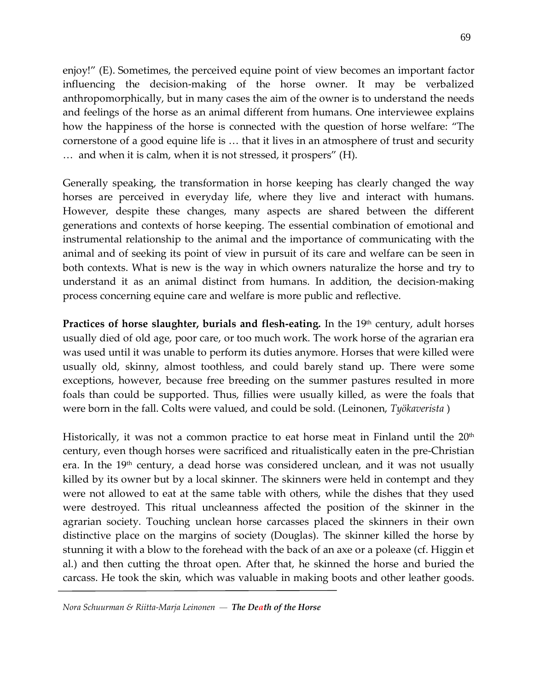enjoy!" (E). Sometimes, the perceived equine point of view becomes an important factor influencing the decision-making of the horse owner. It may be verbalized anthropomorphically, but in many cases the aim of the owner is to understand the needs and feelings of the horse as an animal different from humans. One interviewee explains how the happiness of the horse is connected with the question of horse welfare: "The cornerstone of a good equine life is … that it lives in an atmosphere of trust and security … and when it is calm, when it is not stressed, it prospers" (H).

Generally speaking, the transformation in horse keeping has clearly changed the way horses are perceived in everyday life, where they live and interact with humans. However, despite these changes, many aspects are shared between the different generations and contexts of horse keeping. The essential combination of emotional and instrumental relationship to the animal and the importance of communicating with the animal and of seeking its point of view in pursuit of its care and welfare can be seen in both contexts. What is new is the way in which owners naturalize the horse and try to understand it as an animal distinct from humans. In addition, the decision-making process concerning equine care and welfare is more public and reflective.

**Practices of horse slaughter, burials and flesh-eating.** In the 19<sup>th</sup> century, adult horses usually died of old age, poor care, or too much work. The work horse of the agrarian era was used until it was unable to perform its duties anymore. Horses that were killed were usually old, skinny, almost toothless, and could barely stand up. There were some exceptions, however, because free breeding on the summer pastures resulted in more foals than could be supported. Thus, fillies were usually killed, as were the foals that were born in the fall. Colts were valued, and could be sold. (Leinonen, *Työkaverista* )

Historically, it was not a common practice to eat horse meat in Finland until the  $20<sup>th</sup>$ century, even though horses were sacrificed and ritualistically eaten in the pre-Christian era. In the  $19<sup>th</sup>$  century, a dead horse was considered unclean, and it was not usually killed by its owner but by a local skinner. The skinners were held in contempt and they were not allowed to eat at the same table with others, while the dishes that they used were destroyed. This ritual uncleanness affected the position of the skinner in the agrarian society. Touching unclean horse carcasses placed the skinners in their own distinctive place on the margins of society (Douglas). The skinner killed the horse by stunning it with a blow to the forehead with the back of an axe or a poleaxe (cf. Higgin et al.) and then cutting the throat open. After that, he skinned the horse and buried the carcass. He took the skin, which was valuable in making boots and other leather goods.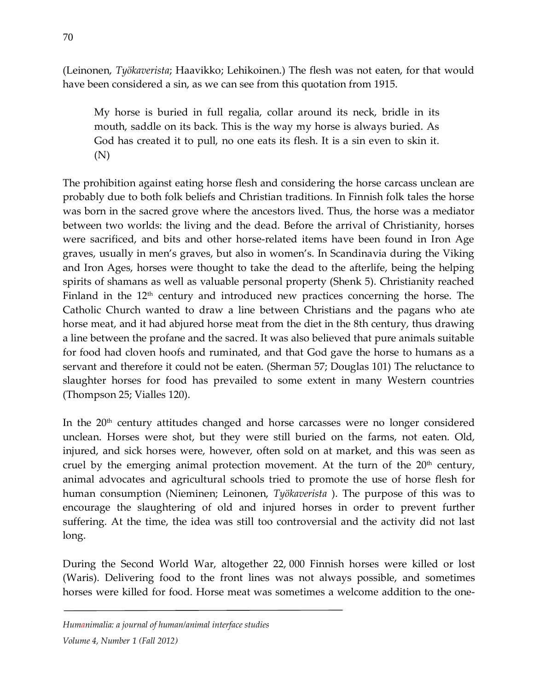(Leinonen, *Työkaverista*; Haavikko; Lehikoinen.) The flesh was not eaten, for that would have been considered a sin, as we can see from this quotation from 1915.

My horse is buried in full regalia, collar around its neck, bridle in its mouth, saddle on its back. This is the way my horse is always buried. As God has created it to pull, no one eats its flesh. It is a sin even to skin it. (N)

The prohibition against eating horse flesh and considering the horse carcass unclean are probably due to both folk beliefs and Christian traditions. In Finnish folk tales the horse was born in the sacred grove where the ancestors lived. Thus, the horse was a mediator between two worlds: the living and the dead. Before the arrival of Christianity, horses were sacrificed, and bits and other horse-related items have been found in Iron Age graves, usually in men's graves, but also in women's. In Scandinavia during the Viking and Iron Ages, horses were thought to take the dead to the afterlife, being the helping spirits of shamans as well as valuable personal property (Shenk 5). Christianity reached Finland in the 12<sup>th</sup> century and introduced new practices concerning the horse. The Catholic Church wanted to draw a line between Christians and the pagans who ate horse meat, and it had abjured horse meat from the diet in the 8th century, thus drawing a line between the profane and the sacred. It was also believed that pure animals suitable for food had cloven hoofs and ruminated, and that God gave the horse to humans as a servant and therefore it could not be eaten. (Sherman 57; Douglas 101) The reluctance to slaughter horses for food has prevailed to some extent in many Western countries (Thompson 25; Vialles 120).

In the  $20<sup>th</sup>$  century attitudes changed and horse carcasses were no longer considered unclean. Horses were shot, but they were still buried on the farms, not eaten. Old, injured, and sick horses were, however, often sold on at market, and this was seen as cruel by the emerging animal protection movement. At the turn of the  $20<sup>th</sup>$  century, animal advocates and agricultural schools tried to promote the use of horse flesh for human consumption (Nieminen; Leinonen, *Työkaverista* ). The purpose of this was to encourage the slaughtering of old and injured horses in order to prevent further suffering. At the time, the idea was still too controversial and the activity did not last long.

During the Second World War, altogether 22, 000 Finnish horses were killed or lost (Waris). Delivering food to the front lines was not always possible, and sometimes horses were killed for food. Horse meat was sometimes a welcome addition to the one-

#### *Humanimalia: a journal of human/animal interface studies*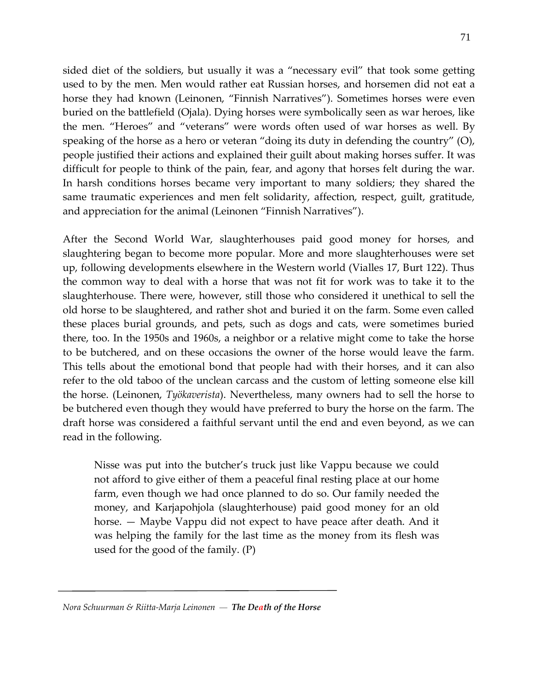sided diet of the soldiers, but usually it was a "necessary evil" that took some getting used to by the men. Men would rather eat Russian horses, and horsemen did not eat a horse they had known (Leinonen, "Finnish Narratives"). Sometimes horses were even buried on the battlefield (Ojala). Dying horses were symbolically seen as war heroes, like the men. "Heroes" and "veterans" were words often used of war horses as well. By speaking of the horse as a hero or veteran "doing its duty in defending the country" (O), people justified their actions and explained their guilt about making horses suffer. It was difficult for people to think of the pain, fear, and agony that horses felt during the war. In harsh conditions horses became very important to many soldiers; they shared the same traumatic experiences and men felt solidarity, affection, respect, guilt, gratitude, and appreciation for the animal (Leinonen "Finnish Narratives").

After the Second World War, slaughterhouses paid good money for horses, and slaughtering began to become more popular. More and more slaughterhouses were set up, following developments elsewhere in the Western world (Vialles 17, Burt 122). Thus the common way to deal with a horse that was not fit for work was to take it to the slaughterhouse. There were, however, still those who considered it unethical to sell the old horse to be slaughtered, and rather shot and buried it on the farm. Some even called these places burial grounds, and pets, such as dogs and cats, were sometimes buried there, too. In the 1950s and 1960s, a neighbor or a relative might come to take the horse to be butchered, and on these occasions the owner of the horse would leave the farm. This tells about the emotional bond that people had with their horses, and it can also refer to the old taboo of the unclean carcass and the custom of letting someone else kill the horse. (Leinonen, *Työkaverista*). Nevertheless, many owners had to sell the horse to be butchered even though they would have preferred to bury the horse on the farm. The draft horse was considered a faithful servant until the end and even beyond, as we can read in the following.

Nisse was put into the butcher's truck just like Vappu because we could not afford to give either of them a peaceful final resting place at our home farm, even though we had once planned to do so. Our family needed the money, and Karjapohjola (slaughterhouse) paid good money for an old horse. — Maybe Vappu did not expect to have peace after death. And it was helping the family for the last time as the money from its flesh was used for the good of the family. (P)

*Nora Schuurman & Riitta-Marja Leinonen — The Death of the Horse*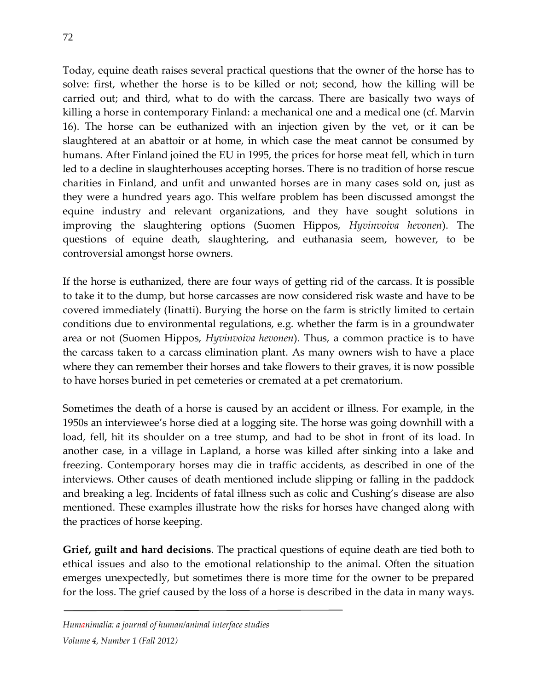Today, equine death raises several practical questions that the owner of the horse has to solve: first, whether the horse is to be killed or not; second, how the killing will be carried out; and third, what to do with the carcass. There are basically two ways of killing a horse in contemporary Finland: a mechanical one and a medical one (cf. Marvin 16). The horse can be euthanized with an injection given by the vet, or it can be slaughtered at an abattoir or at home, in which case the meat cannot be consumed by humans. After Finland joined the EU in 1995, the prices for horse meat fell, which in turn led to a decline in slaughterhouses accepting horses. There is no tradition of horse rescue charities in Finland, and unfit and unwanted horses are in many cases sold on, just as they were a hundred years ago. This welfare problem has been discussed amongst the equine industry and relevant organizations, and they have sought solutions in improving the slaughtering options (Suomen Hippos, *Hyvinvoiva hevonen*). The questions of equine death, slaughtering, and euthanasia seem, however, to be controversial amongst horse owners.

If the horse is euthanized, there are four ways of getting rid of the carcass. It is possible to take it to the dump, but horse carcasses are now considered risk waste and have to be covered immediately (Iinatti). Burying the horse on the farm is strictly limited to certain conditions due to environmental regulations, e.g. whether the farm is in a groundwater area or not (Suomen Hippos, *Hyvinvoiva hevonen*). Thus, a common practice is to have the carcass taken to a carcass elimination plant. As many owners wish to have a place where they can remember their horses and take flowers to their graves, it is now possible to have horses buried in pet cemeteries or cremated at a pet crematorium.

Sometimes the death of a horse is caused by an accident or illness. For example, in the 1950s an interviewee's horse died at a logging site. The horse was going downhill with a load, fell, hit its shoulder on a tree stump, and had to be shot in front of its load. In another case, in a village in Lapland, a horse was killed after sinking into a lake and freezing. Contemporary horses may die in traffic accidents, as described in one of the interviews. Other causes of death mentioned include slipping or falling in the paddock and breaking a leg. Incidents of fatal illness such as colic and Cushing's disease are also mentioned. These examples illustrate how the risks for horses have changed along with the practices of horse keeping.

**Grief, guilt and hard decisions**. The practical questions of equine death are tied both to ethical issues and also to the emotional relationship to the animal. Often the situation emerges unexpectedly, but sometimes there is more time for the owner to be prepared for the loss. The grief caused by the loss of a horse is described in the data in many ways.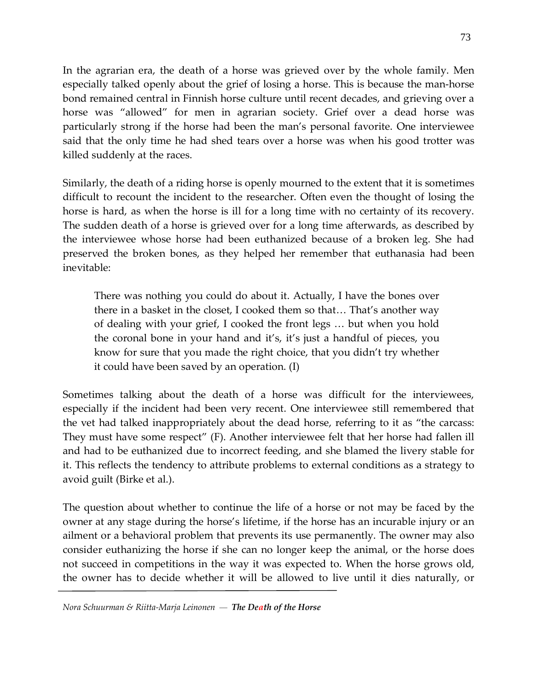In the agrarian era, the death of a horse was grieved over by the whole family. Men especially talked openly about the grief of losing a horse. This is because the man-horse bond remained central in Finnish horse culture until recent decades, and grieving over a horse was "allowed" for men in agrarian society. Grief over a dead horse was particularly strong if the horse had been the man's personal favorite. One interviewee said that the only time he had shed tears over a horse was when his good trotter was killed suddenly at the races.

Similarly, the death of a riding horse is openly mourned to the extent that it is sometimes difficult to recount the incident to the researcher. Often even the thought of losing the horse is hard, as when the horse is ill for a long time with no certainty of its recovery. The sudden death of a horse is grieved over for a long time afterwards, as described by the interviewee whose horse had been euthanized because of a broken leg. She had preserved the broken bones, as they helped her remember that euthanasia had been inevitable:

There was nothing you could do about it. Actually, I have the bones over there in a basket in the closet, I cooked them so that… That's another way of dealing with your grief, I cooked the front legs … but when you hold the coronal bone in your hand and it's, it's just a handful of pieces, you know for sure that you made the right choice, that you didn't try whether it could have been saved by an operation. (I)

Sometimes talking about the death of a horse was difficult for the interviewees, especially if the incident had been very recent. One interviewee still remembered that the vet had talked inappropriately about the dead horse, referring to it as "the carcass: They must have some respect" (F). Another interviewee felt that her horse had fallen ill and had to be euthanized due to incorrect feeding, and she blamed the livery stable for it. This reflects the tendency to attribute problems to external conditions as a strategy to avoid guilt (Birke et al.).

The question about whether to continue the life of a horse or not may be faced by the owner at any stage during the horse's lifetime, if the horse has an incurable injury or an ailment or a behavioral problem that prevents its use permanently. The owner may also consider euthanizing the horse if she can no longer keep the animal, or the horse does not succeed in competitions in the way it was expected to. When the horse grows old, the owner has to decide whether it will be allowed to live until it dies naturally, or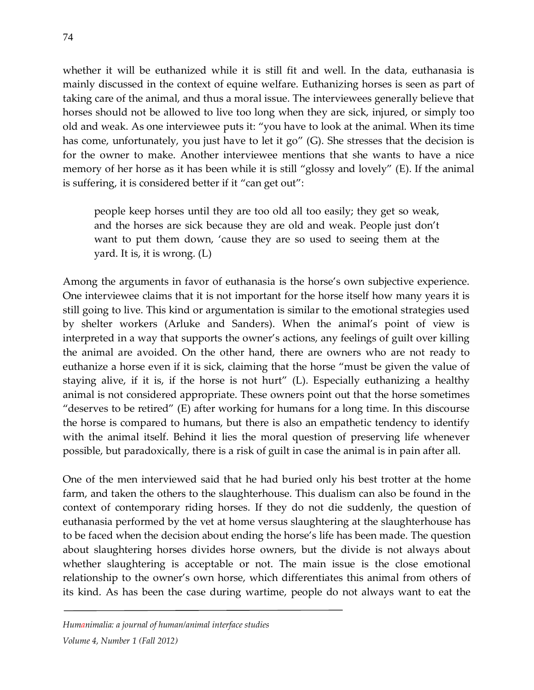whether it will be euthanized while it is still fit and well. In the data, euthanasia is mainly discussed in the context of equine welfare. Euthanizing horses is seen as part of taking care of the animal, and thus a moral issue. The interviewees generally believe that horses should not be allowed to live too long when they are sick, injured, or simply too old and weak. As one interviewee puts it: "you have to look at the animal. When its time has come, unfortunately, you just have to let it go" (G). She stresses that the decision is for the owner to make. Another interviewee mentions that she wants to have a nice memory of her horse as it has been while it is still "glossy and lovely" (E). If the animal is suffering, it is considered better if it "can get out":

people keep horses until they are too old all too easily; they get so weak, and the horses are sick because they are old and weak. People just don't want to put them down, 'cause they are so used to seeing them at the yard. It is, it is wrong. (L)

Among the arguments in favor of euthanasia is the horse's own subjective experience. One interviewee claims that it is not important for the horse itself how many years it is still going to live. This kind or argumentation is similar to the emotional strategies used by shelter workers (Arluke and Sanders). When the animal's point of view is interpreted in a way that supports the owner's actions, any feelings of guilt over killing the animal are avoided. On the other hand, there are owners who are not ready to euthanize a horse even if it is sick, claiming that the horse "must be given the value of staying alive, if it is, if the horse is not hurt" (L). Especially euthanizing a healthy animal is not considered appropriate. These owners point out that the horse sometimes "deserves to be retired" (E) after working for humans for a long time. In this discourse the horse is compared to humans, but there is also an empathetic tendency to identify with the animal itself. Behind it lies the moral question of preserving life whenever possible, but paradoxically, there is a risk of guilt in case the animal is in pain after all.

One of the men interviewed said that he had buried only his best trotter at the home farm, and taken the others to the slaughterhouse. This dualism can also be found in the context of contemporary riding horses. If they do not die suddenly, the question of euthanasia performed by the vet at home versus slaughtering at the slaughterhouse has to be faced when the decision about ending the horse's life has been made. The question about slaughtering horses divides horse owners, but the divide is not always about whether slaughtering is acceptable or not. The main issue is the close emotional relationship to the owner's own horse, which differentiates this animal from others of its kind. As has been the case during wartime, people do not always want to eat the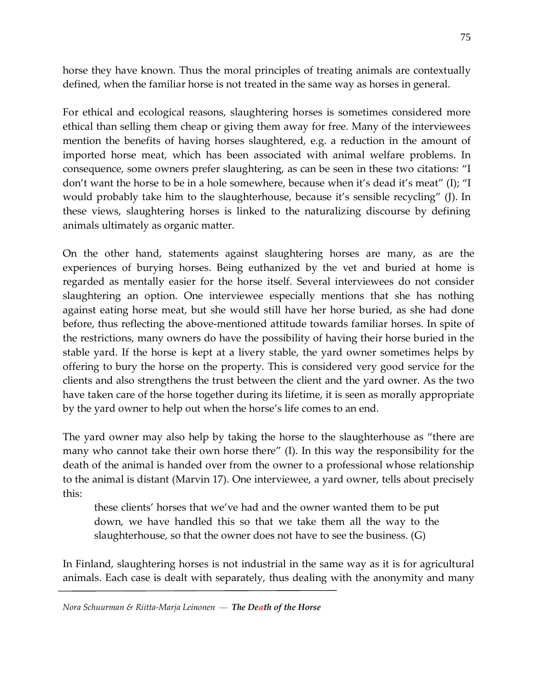horse they have known. Thus the moral principles of treating animals are contextually defined, when the familiar horse is not treated in the same way as horses in general.

For ethical and ecological reasons, slaughtering horses is sometimes considered more ethical than selling them cheap or giving them away for free. Many of the interviewees mention the benefits of having horses slaughtered, e.g. a reduction in the amount of imported horse meat, which has been associated with animal welfare problems. In consequence, some owners prefer slaughtering, as can be seen in these two citations: "I don't want the horse to be in a hole somewhere, because when it's dead it's meat" (I); "I would probably take him to the slaughterhouse, because it's sensible recycling" (J). In these views, slaughtering horses is linked to the naturalizing discourse by defining animals ultimately as organic matter.

On the other hand, statements against slaughtering horses are many, as are the experiences of burying horses. Being euthanized by the vet and buried at home is regarded as mentally easier for the horse itself. Several interviewees do not consider slaughtering an option. One interviewee especially mentions that she has nothing against eating horse meat, but she would still have her horse buried, as she had done before, thus reflecting the above-mentioned attitude towards familiar horses. In spite of the restrictions, many owners do have the possibility of having their horse buried in the stable yard. If the horse is kept at a livery stable, the yard owner sometimes helps by offering to bury the horse on the property. This is considered very good service for the clients and also strengthens the trust between the client and the yard owner. As the two have taken care of the horse together during its lifetime, it is seen as morally appropriate by the yard owner to help out when the horse's life comes to an end.

The yard owner may also help by taking the horse to the slaughterhouse as "there are many who cannot take their own horse there" (I). In this way the responsibility for the death of the animal is handed over from the owner to a professional whose relationship to the animal is distant (Marvin 17). One interviewee, a yard owner, tells about precisely this:

these clients' horses that we've had and the owner wanted them to be put down, we have handled this so that we take them all the way to the slaughterhouse, so that the owner does not have to see the business. (G)

In Finland, slaughtering horses is not industrial in the same way as it is for agricultural animals. Each case is dealt with separately, thus dealing with the anonymity and many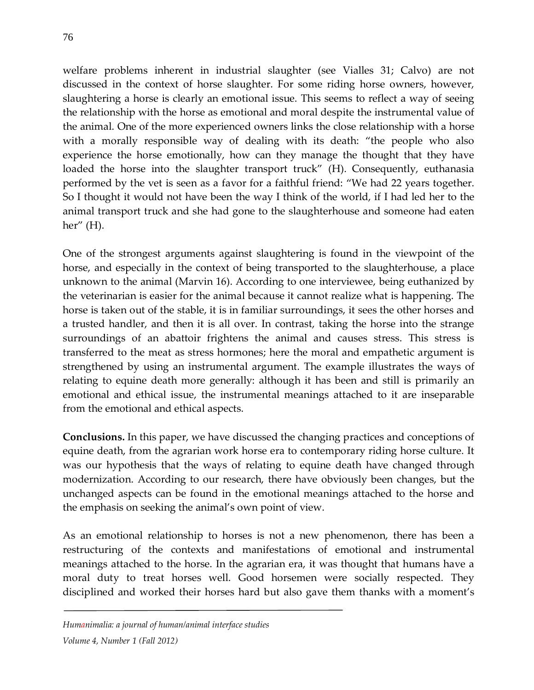welfare problems inherent in industrial slaughter (see Vialles 31; Calvo) are not discussed in the context of horse slaughter. For some riding horse owners, however, slaughtering a horse is clearly an emotional issue. This seems to reflect a way of seeing the relationship with the horse as emotional and moral despite the instrumental value of the animal. One of the more experienced owners links the close relationship with a horse with a morally responsible way of dealing with its death: "the people who also experience the horse emotionally, how can they manage the thought that they have loaded the horse into the slaughter transport truck" (H). Consequently, euthanasia performed by the vet is seen as a favor for a faithful friend: "We had 22 years together. So I thought it would not have been the way I think of the world, if I had led her to the animal transport truck and she had gone to the slaughterhouse and someone had eaten her" (H).

One of the strongest arguments against slaughtering is found in the viewpoint of the horse, and especially in the context of being transported to the slaughterhouse, a place unknown to the animal (Marvin 16). According to one interviewee, being euthanized by the veterinarian is easier for the animal because it cannot realize what is happening. The horse is taken out of the stable, it is in familiar surroundings, it sees the other horses and a trusted handler, and then it is all over. In contrast, taking the horse into the strange surroundings of an abattoir frightens the animal and causes stress. This stress is transferred to the meat as stress hormones; here the moral and empathetic argument is strengthened by using an instrumental argument. The example illustrates the ways of relating to equine death more generally: although it has been and still is primarily an emotional and ethical issue, the instrumental meanings attached to it are inseparable from the emotional and ethical aspects.

**Conclusions.** In this paper, we have discussed the changing practices and conceptions of equine death, from the agrarian work horse era to contemporary riding horse culture. It was our hypothesis that the ways of relating to equine death have changed through modernization. According to our research, there have obviously been changes, but the unchanged aspects can be found in the emotional meanings attached to the horse and the emphasis on seeking the animal's own point of view.

As an emotional relationship to horses is not a new phenomenon, there has been a restructuring of the contexts and manifestations of emotional and instrumental meanings attached to the horse. In the agrarian era, it was thought that humans have a moral duty to treat horses well. Good horsemen were socially respected. They disciplined and worked their horses hard but also gave them thanks with a moment's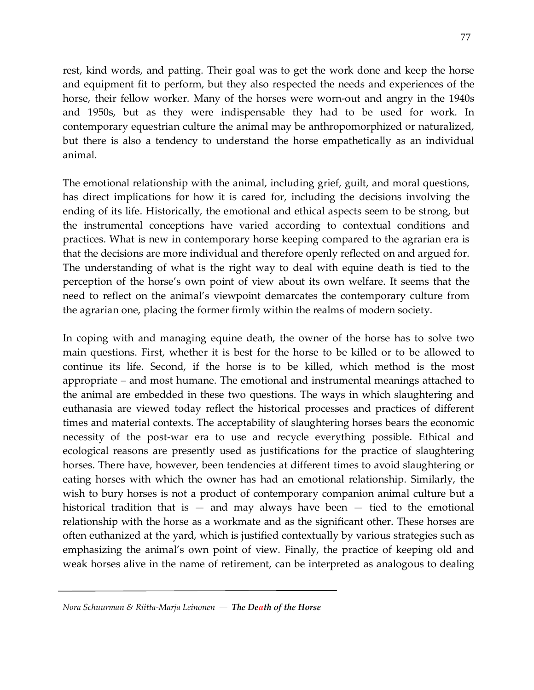rest, kind words, and patting. Their goal was to get the work done and keep the horse and equipment fit to perform, but they also respected the needs and experiences of the horse, their fellow worker. Many of the horses were worn-out and angry in the 1940s and 1950s, but as they were indispensable they had to be used for work. In contemporary equestrian culture the animal may be anthropomorphized or naturalized, but there is also a tendency to understand the horse empathetically as an individual animal.

The emotional relationship with the animal, including grief, guilt, and moral questions, has direct implications for how it is cared for, including the decisions involving the ending of its life. Historically, the emotional and ethical aspects seem to be strong, but the instrumental conceptions have varied according to contextual conditions and practices. What is new in contemporary horse keeping compared to the agrarian era is that the decisions are more individual and therefore openly reflected on and argued for. The understanding of what is the right way to deal with equine death is tied to the perception of the horse's own point of view about its own welfare. It seems that the need to reflect on the animal's viewpoint demarcates the contemporary culture from the agrarian one, placing the former firmly within the realms of modern society.

In coping with and managing equine death, the owner of the horse has to solve two main questions. First, whether it is best for the horse to be killed or to be allowed to continue its life. Second, if the horse is to be killed, which method is the most appropriate – and most humane. The emotional and instrumental meanings attached to the animal are embedded in these two questions. The ways in which slaughtering and euthanasia are viewed today reflect the historical processes and practices of different times and material contexts. The acceptability of slaughtering horses bears the economic necessity of the post-war era to use and recycle everything possible. Ethical and ecological reasons are presently used as justifications for the practice of slaughtering horses. There have, however, been tendencies at different times to avoid slaughtering or eating horses with which the owner has had an emotional relationship. Similarly, the wish to bury horses is not a product of contemporary companion animal culture but a historical tradition that is  $-$  and may always have been  $-$  tied to the emotional relationship with the horse as a workmate and as the significant other. These horses are often euthanized at the yard, which is justified contextually by various strategies such as emphasizing the animal's own point of view. Finally, the practice of keeping old and weak horses alive in the name of retirement, can be interpreted as analogous to dealing

*Nora Schuurman & Riitta-Marja Leinonen — The Death of the Horse*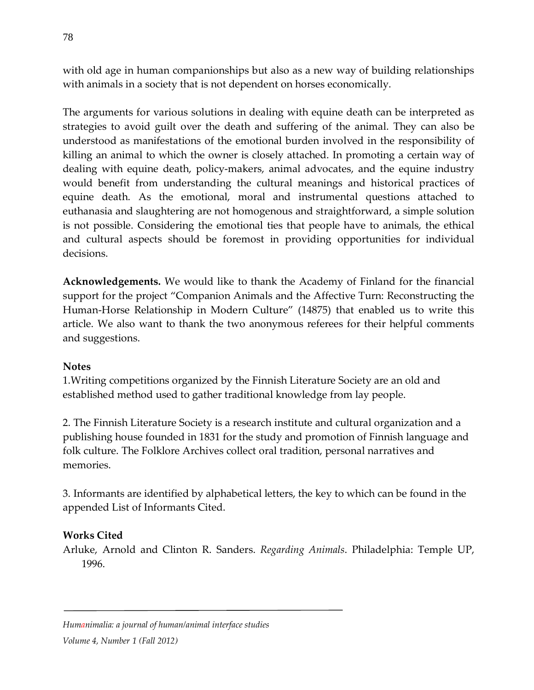with old age in human companionships but also as a new way of building relationships with animals in a society that is not dependent on horses economically.

The arguments for various solutions in dealing with equine death can be interpreted as strategies to avoid guilt over the death and suffering of the animal. They can also be understood as manifestations of the emotional burden involved in the responsibility of killing an animal to which the owner is closely attached. In promoting a certain way of dealing with equine death, policy-makers, animal advocates, and the equine industry would benefit from understanding the cultural meanings and historical practices of equine death. As the emotional, moral and instrumental questions attached to euthanasia and slaughtering are not homogenous and straightforward, a simple solution is not possible. Considering the emotional ties that people have to animals, the ethical and cultural aspects should be foremost in providing opportunities for individual decisions.

**Acknowledgements.** We would like to thank the Academy of Finland for the financial support for the project "Companion Animals and the Affective Turn: Reconstructing the Human-Horse Relationship in Modern Culture" (14875) that enabled us to write this article. We also want to thank the two anonymous referees for their helpful comments and suggestions.

## **Notes**

1.Writing competitions organized by the Finnish Literature Society are an old and established method used to gather traditional knowledge from lay people.

2. The Finnish Literature Society is a research institute and cultural organization and a publishing house founded in 1831 for the study and promotion of Finnish language and folk culture. The Folklore Archives collect oral tradition, personal narratives and memories.

3. Informants are identified by alphabetical letters, the key to which can be found in the appended List of Informants Cited.

## **Works Cited**

Arluke, Arnold and Clinton R. Sanders. *Regarding Animals*. Philadelphia: Temple UP, 1996.

#### *Humanimalia: a journal of human/animal interface studies*

*Volume 4, Number 1 (Fall 2012)*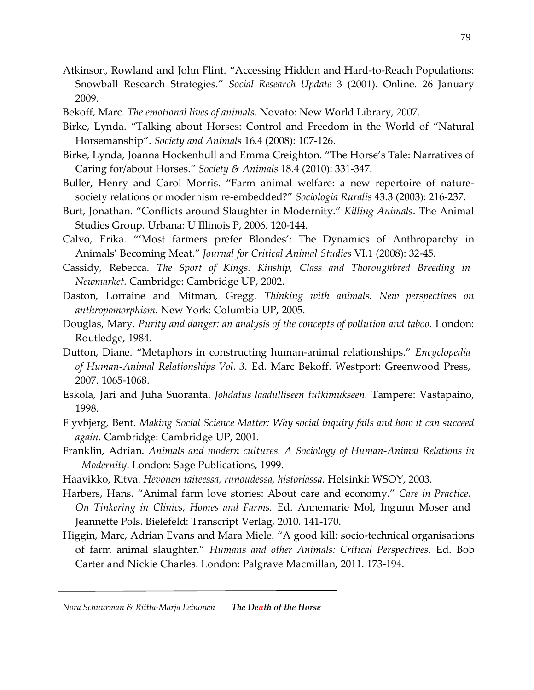- Atkinson, Rowland and John Flint. "Accessing Hidden and Hard-to-Reach Populations: Snowball Research Strategies." *Social Research Update* 3 (2001). Online. 26 January 2009.
- Bekoff, Marc. *The emotional lives of animals*. Novato: New World Library, 2007.
- Birke, Lynda. "Talking about Horses: Control and Freedom in the World of "Natural Horsemanship". *Society and Animals* 16.4 (2008): 107-126.
- Birke, Lynda, Joanna Hockenhull and Emma Creighton. "The Horse's Tale: Narratives of Caring for/about Horses." *Society & Animals* 18.4 (2010): 331-347.
- Buller, Henry and Carol Morris. "Farm animal welfare: a new repertoire of naturesociety relations or modernism re-embedded?" *Sociologia Ruralis* 43.3 (2003): 216-237.
- Burt, Jonathan. "Conflicts around Slaughter in Modernity." *Killing Animals*. The Animal Studies Group. Urbana: U Illinois P, 2006. 120-144.
- Calvo, Erika. "'Most farmers prefer Blondes': The Dynamics of Anthroparchy in Animals' Becoming Meat." *Journal for Critical Animal Studies* VI.1 (2008): 32-45.
- Cassidy, Rebecca. *The Sport of Kings. Kinship, Class and Thoroughbred Breeding in Newmarket.* Cambridge: Cambridge UP, 2002.
- Daston, Lorraine and Mitman, Gregg. *Thinking with animals. New perspectives on anthropomorphism*. New York: Columbia UP, 2005.
- Douglas, Mary. *Purity and danger: an analysis of the concepts of pollution and taboo*. London: Routledge, 1984.
- Dutton, Diane. "Metaphors in constructing human-animal relationships." *Encyclopedia of Human-Animal Relationships Vol. 3*. Ed. Marc Bekoff. Westport: Greenwood Press, 2007. 1065-1068.
- Eskola, Jari and Juha Suoranta. *Johdatus laadulliseen tutkimukseen.* Tampere: Vastapaino, 1998.
- Flyvbjerg, Bent. *Making Social Science Matter: Why social inquiry fails and how it can succeed again.* Cambridge: Cambridge UP, 2001.
- Franklin, Adrian. *Animals and modern cultures. A Sociology of Human-Animal Relations in Modernity*. London: Sage Publications, 1999.
- Haavikko, Ritva. *Hevonen taiteessa, runoudessa, historiassa*. Helsinki: WSOY, 2003.
- Harbers, Hans. "Animal farm love stories: About care and economy." *Care in Practice. On Tinkering in Clinics, Homes and Farms.* Ed. Annemarie Mol, Ingunn Moser and Jeannette Pols. Bielefeld: Transcript Verlag, 2010. 141-170.
- Higgin, Marc, Adrian Evans and Mara Miele. "A good kill: socio-technical organisations of farm animal slaughter." *Humans and other Animals: Critical Perspectives*. Ed. Bob Carter and Nickie Charles. London: Palgrave Macmillan, 2011. 173-194.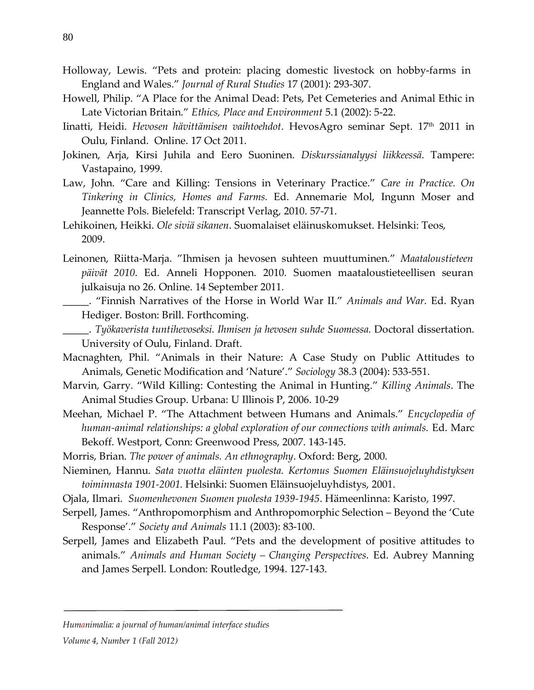- Holloway, Lewis. "Pets and protein: placing domestic livestock on hobby-farms in England and Wales." *Journal of Rural Studies* 17 (2001): 293-307.
- Howell, Philip. "A Place for the Animal Dead: Pets, Pet Cemeteries and Animal Ethic in Late Victorian Britain." *Ethics, Place and Environment* 5.1 (2002): 5-22.
- Iinatti, Heidi. *Hevosen hävittämisen vaihtoehdot*. HevosAgro seminar Sept. 17th 2011 in Oulu, Finland. Online. 17 Oct 2011.
- Jokinen, Arja, Kirsi Juhila and Eero Suoninen. *Diskurssianalyysi liikkeessä*. Tampere: Vastapaino, 1999.
- Law, John. "Care and Killing: Tensions in Veterinary Practice." *Care in Practice. On Tinkering in Clinics, Homes and Farms.* Ed. Annemarie Mol, Ingunn Moser and Jeannette Pols. Bielefeld: Transcript Verlag, 2010. 57-71.
- Lehikoinen, Heikki. *Ole siviä sikanen*. Suomalaiset eläinuskomukset. Helsinki: Teos, 2009.
- Leinonen, Riitta-Marja. "Ihmisen ja hevosen suhteen muuttuminen." *Maataloustieteen päivät 2010*. Ed. Anneli Hopponen. 2010. Suomen maataloustieteellisen seuran julkaisuja no 26. Online. 14 September 2011.
	- \_\_\_\_\_. "Finnish Narratives of the Horse in World War II." *Animals and War*. Ed. Ryan Hediger. Boston: Brill. Forthcoming.
- \_\_\_\_\_. *Työkaverista tuntihevoseksi. Ihmisen ja hevosen suhde Suomessa.* Doctoral dissertation. University of Oulu, Finland. Draft.
- Macnaghten, Phil. "Animals in their Nature: A Case Study on Public Attitudes to Animals, Genetic Modification and 'Nature'." *Sociology* 38.3 (2004): 533-551.
- Marvin, Garry. "Wild Killing: Contesting the Animal in Hunting." *Killing Animals*. The Animal Studies Group. Urbana: U Illinois P, 2006. 10-29
- Meehan, Michael P. "The Attachment between Humans and Animals." *Encyclopedia of human-animal relationships: a global exploration of our connections with animals.* Ed. Marc Bekoff. Westport, Conn: Greenwood Press, 2007. 143-145.
- Morris, Brian. *The power of animals. An ethnography*. Oxford: Berg, 2000.
- Nieminen, Hannu. *Sata vuotta eläinten puolesta. Kertomus Suomen Eläinsuojeluyhdistyksen toiminnasta 1901-2001.* Helsinki: Suomen Eläinsuojeluyhdistys, 2001.
- Ojala, Ilmari. *Suomenhevonen Suomen puolesta 1939-1945*. Hämeenlinna: Karisto, 1997.
- Serpell, James. "Anthropomorphism and Anthropomorphic Selection Beyond the 'Cute Response'." *Society and Animals* 11.1 (2003): 83-100.
- Serpell, James and Elizabeth Paul. "Pets and the development of positive attitudes to animals." *Animals and Human Society – Changing Perspectives*. Ed. Aubrey Manning and James Serpell. London: Routledge, 1994. 127-143.

*Volume 4, Number 1 (Fall 2012)*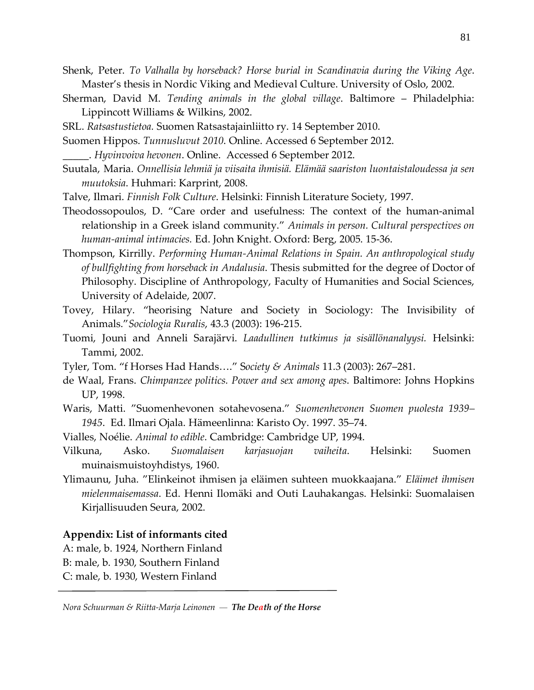- Shenk, Peter. *To Valhalla by horseback? Horse burial in Scandinavia during the Viking Age*. Master's thesis in Nordic Viking and Medieval Culture. University of Oslo, 2002.
- Sherman, David M. *Tending animals in the global village*. Baltimore Philadelphia: Lippincott Williams & Wilkins, 2002.
- SRL. *Ratsastustietoa.* Suomen Ratsastajainliitto ry. 14 September 2010.
- Suomen Hippos. *Tunnusluvut 2010*. Online. Accessed 6 September 2012.
	- \_\_\_\_\_. *Hyvinvoiva hevonen*. Online. Accessed 6 September 2012.
- Suutala, Maria. *Onnellisia lehmiä ja viisaita ihmisiä. Elämää saariston luontaistaloudessa ja sen muutoksia*. Huhmari: Karprint, 2008.
- Talve, Ilmari. *Finnish Folk Culture*. Helsinki: Finnish Literature Society, 1997.
- Theodossopoulos, D. "Care order and usefulness: The context of the human-animal relationship in a Greek island community." *Animals in person. Cultural perspectives on human-animal intimacies.* Ed. John Knight. Oxford: Berg, 2005. 15-36.
- Thompson, Kirrilly. *Performing Human-Animal Relations in Spain. An anthropological study of bullfighting from horseback in Andalusia*. Thesis submitted for the degree of Doctor of Philosophy. Discipline of Anthropology, Faculty of Humanities and Social Sciences, University of Adelaide, 2007.
- Tovey, Hilary. "heorising Nature and Society in Sociology: The Invisibility of Animals."*Sociologia Ruralis*, 43.3 (2003): 196-215.
- Tuomi, Jouni and Anneli Sarajärvi. *Laadullinen tutkimus ja sisällönanalyysi.* Helsinki: Tammi, 2002.
- Tyler, Tom. "f Horses Had Hands…." S*ociety & Animals* 11.3 (2003): 267–281.
- de Waal, Frans. *Chimpanzee politics. Power and sex among apes*. Baltimore: Johns Hopkins UP, 1998.
- Waris, Matti. "Suomenhevonen sotahevosena." *Suomenhevonen Suomen puolesta 1939– 1945*. Ed. Ilmari Ojala. Hämeenlinna: Karisto Oy. 1997. 35–74.
- Vialles, Noélie. *Animal to edible*. Cambridge: Cambridge UP, 1994.
- Vilkuna, Asko. *Suomalaisen karjasuojan vaiheita*. Helsinki: Suomen muinaismuistoyhdistys, 1960.
- Ylimaunu, Juha. "Elinkeinot ihmisen ja eläimen suhteen muokkaajana." *Eläimet ihmisen mielenmaisemassa*. Ed. Henni Ilomäki and Outi Lauhakangas. Helsinki: Suomalaisen Kirjallisuuden Seura, 2002.

#### **Appendix: List of informants cited**

- A: male, b. 1924, Northern Finland
- B: male, b. 1930, Southern Finland
- C: male, b. 1930, Western Finland

*Nora Schuurman & Riitta-Marja Leinonen — The Death of the Horse*